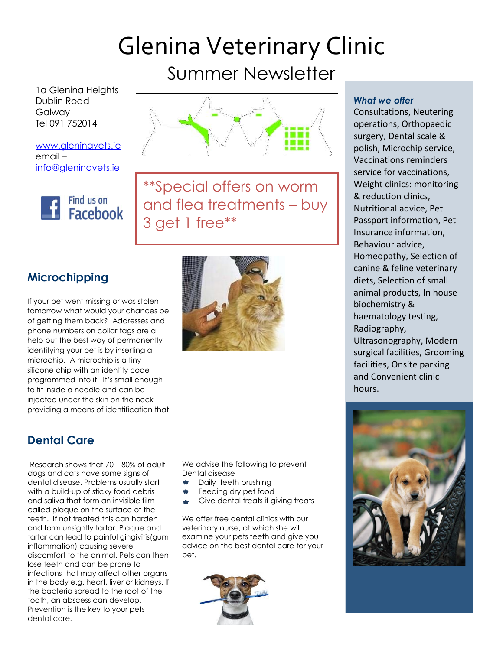# Glenina Veterinary Clinic Summer Newsletter

1a Glenina Heights Dublin Road Galway Tel 091 752014

[www.gleninavets.ie](http://www.gleninavets.ie/) email – [info@gleninavets.ie](mailto:info@gleninavets.ie)



Caption describing \*\*Special offers on worm and flea treatments – buy 3 get 1 free\*\*

picture or graphic.

## **Microchipping**

If your pet went missing or was stolen tomorrow what would your chances be of getting them back? Addresses and phone numbers on collar tags are a help but the best way of permanently identifying your pet is by inserting a microchip. A microchip is a tiny silicone chip with an identity code programmed into it. It's small enough to fit inside a needle and can be injected under the skin on the neck providing a means of identification that

## **Dental Care**

Research shows that 70 - 80% of adult Research shows many  $6 - 60\%$  or dabit<br>dogs and cats have some signs of dental disease. Problems usually start with a build-up of sticky food debris and saliva that form an invisible film called plaque on the surface of the teeth. If not treated this can harden and form unsightly tartar. Plaque and tartar can lead to painful gingivitis(gum inflammation) causing severe discomfort to the animal. Pets can then lose teeth and can be prone to infections that may affect other organs in the body e.g. heart, liver or kidneys. If the bacteria spread to the root of the tooth, an abscess can develop. Prevention is the key to your pets dental care.



We advise the following to prevent Dental disease

- **\*** Daily teeth brushing
- Feeding dry pet food
- Give dental treats if giving treats

We offer free dental clinics with our veterinary nurse, at which she will examine your pets teeth and give you advice on the best dental care for your pet.



### *What we offer*

Consultations, Neutering operations, Orthopaedic surgery, Dental scale & polish, Microchip service, Vaccinations reminders service for vaccinations, Weight clinics: monitoring & reduction clinics, Nutritional advice, Pet Passport information, Pet Insurance information, Behaviour advice, Homeopathy, Selection of canine & feline veterinary diets, Selection of small animal products, In house biochemistry & haematology testing, Radiography, Ultrasonography, Modern surgical facilities, Grooming facilities, Onsite parking and Convenient clinic hours.